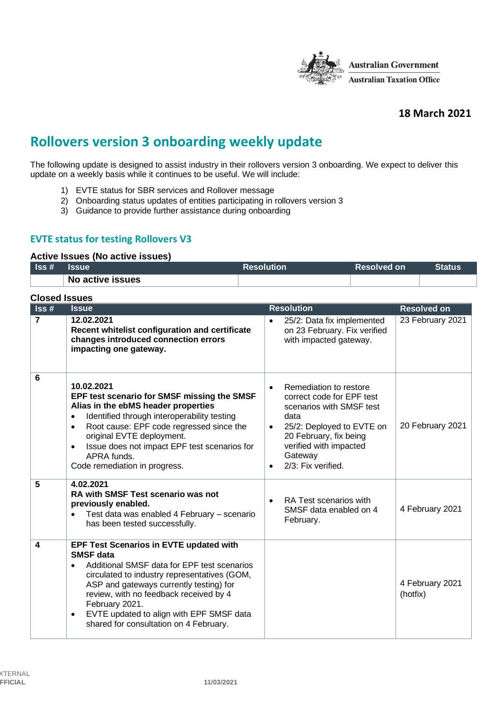

# **18 March 2021**

# **Rollovers version 3 onboarding weekly update**

The following update is designed to assist industry in their rollovers version 3 onboarding. We expect to deliver this update on a weekly basis while it continues to be useful. We will include:

- 1) EVTE status for SBR services and Rollover message
- 2) Onboarding status updates of entities participating in rollovers version 3
- 3) Guidance to provide further assistance during onboarding

## **EVTE status for testing Rollovers V3**

#### **Active Issues (No active issues)**

| $\textsf{lss}\,\texttt{\#}$ | <b>Issue</b>     | <b>Resolution</b> | 'Resolved on | <b>Status</b> |
|-----------------------------|------------------|-------------------|--------------|---------------|
|                             | No active issues |                   |              |               |

| <b>Closed Issues</b>        |                                                                                                                                                                                                                                                                                                                                                                                   |                                                                                                                                                                                                                                     |                             |  |
|-----------------------------|-----------------------------------------------------------------------------------------------------------------------------------------------------------------------------------------------------------------------------------------------------------------------------------------------------------------------------------------------------------------------------------|-------------------------------------------------------------------------------------------------------------------------------------------------------------------------------------------------------------------------------------|-----------------------------|--|
| $\textsf{lss}\,\texttt{\#}$ | <b>Issue</b>                                                                                                                                                                                                                                                                                                                                                                      | <b>Resolution</b>                                                                                                                                                                                                                   | <b>Resolved on</b>          |  |
| $\overline{7}$              | 12.02.2021<br>Recent whitelist configuration and certificate<br>changes introduced connection errors<br>impacting one gateway.                                                                                                                                                                                                                                                    | 25/2: Data fix implemented<br>$\bullet$<br>on 23 February. Fix verified<br>with impacted gateway.                                                                                                                                   | 23 February 2021            |  |
| 6                           | 10.02.2021<br>EPF test scenario for SMSF missing the SMSF<br>Alias in the ebMS header properties<br>Identified through interoperability testing<br>$\bullet$<br>Root cause: EPF code regressed since the<br>$\bullet$<br>original EVTE deployment.<br>Issue does not impact EPF test scenarios for<br>$\bullet$<br>APRA funds.<br>Code remediation in progress.                   | Remediation to restore<br>$\bullet$<br>correct code for EPF test<br>scenarios with SMSF test<br>data<br>25/2: Deployed to EVTE on<br>20 February, fix being<br>verified with impacted<br>Gateway<br>2/3: Fix verified.<br>$\bullet$ | 20 February 2021            |  |
| 5                           | 4.02.2021<br><b>RA with SMSF Test scenario was not</b><br>previously enabled.<br>Test data was enabled 4 February - scenario<br>$\bullet$<br>has been tested successfully.                                                                                                                                                                                                        | RA Test scenarios with<br>SMSF data enabled on 4<br>February.                                                                                                                                                                       | 4 February 2021             |  |
| 4                           | EPF Test Scenarios in EVTE updated with<br><b>SMSF</b> data<br>Additional SMSF data for EPF test scenarios<br>$\bullet$<br>circulated to industry representatives (GOM,<br>ASP and gateways currently testing) for<br>review, with no feedback received by 4<br>February 2021.<br>EVTE updated to align with EPF SMSF data<br>$\bullet$<br>shared for consultation on 4 February. |                                                                                                                                                                                                                                     | 4 February 2021<br>(hotfix) |  |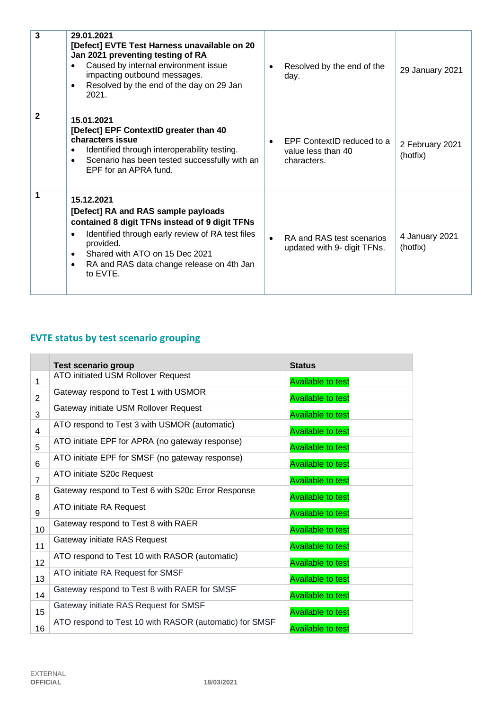| 3              | 29.01.2021<br>[Defect] EVTE Test Harness unavailable on 20<br>Jan 2021 preventing testing of RA<br>Caused by internal environment issue<br>impacting outbound messages.<br>Resolved by the end of the day on 29 Jan<br>٠<br>2021.                                                              | Resolved by the end of the<br>day.                              | 29 January 2021             |
|----------------|------------------------------------------------------------------------------------------------------------------------------------------------------------------------------------------------------------------------------------------------------------------------------------------------|-----------------------------------------------------------------|-----------------------------|
| $\overline{2}$ | 15.01.2021<br>[Defect] EPF ContextID greater than 40<br>characters issue<br>Identified through interoperability testing.<br>٠<br>Scenario has been tested successfully with an<br>٠<br>EPF for an APRA fund.                                                                                   | EPF ContextID reduced to a<br>value less than 40<br>characters. | 2 February 2021<br>(hotfix) |
| 1              | 15.12.2021<br>[Defect] RA and RAS sample payloads<br>contained 8 digit TFNs instead of 9 digit TFNs<br>Identified through early review of RA test files<br>$\bullet$<br>provided.<br>Shared with ATO on 15 Dec 2021<br>$\bullet$<br>RA and RAS data change release on 4th Jan<br>٠<br>to EVTE. | RA and RAS test scenarios<br>updated with 9- digit TFNs.        | 4 January 2021<br>(hotfix)  |

# **EVTE status by test scenario grouping**

|                | <b>Test scenario group</b>                             | <b>Status</b>            |
|----------------|--------------------------------------------------------|--------------------------|
| 1              | ATO initiated USM Rollover Request                     | <b>Available to test</b> |
| $\overline{2}$ | Gateway respond to Test 1 with USMOR                   | <b>Available to test</b> |
| 3              | Gateway initiate USM Rollover Request                  | <b>Available to test</b> |
| 4              | ATO respond to Test 3 with USMOR (automatic)           | <b>Available to test</b> |
| 5              | ATO initiate EPF for APRA (no gateway response)        | <b>Available to test</b> |
| 6              | ATO initiate EPF for SMSF (no gateway response)        | <b>Available to test</b> |
| $\overline{7}$ | ATO initiate S20c Request                              | <b>Available to test</b> |
| 8              | Gateway respond to Test 6 with S20c Error Response     | <b>Available to test</b> |
| 9              | ATO initiate RA Request                                | <b>Available to test</b> |
| 10             | Gateway respond to Test 8 with RAER                    | <b>Available to test</b> |
| 11             | Gateway initiate RAS Request                           | <b>Available to test</b> |
| 12             | ATO respond to Test 10 with RASOR (automatic)          | <b>Available to test</b> |
| 13             | ATO initiate RA Request for SMSF                       | <b>Available to test</b> |
| 14             | Gateway respond to Test 8 with RAER for SMSF           | <b>Available to test</b> |
| 15             | Gateway initiate RAS Request for SMSF                  | <b>Available to test</b> |
| 16             | ATO respond to Test 10 with RASOR (automatic) for SMSF | <b>Available to test</b> |